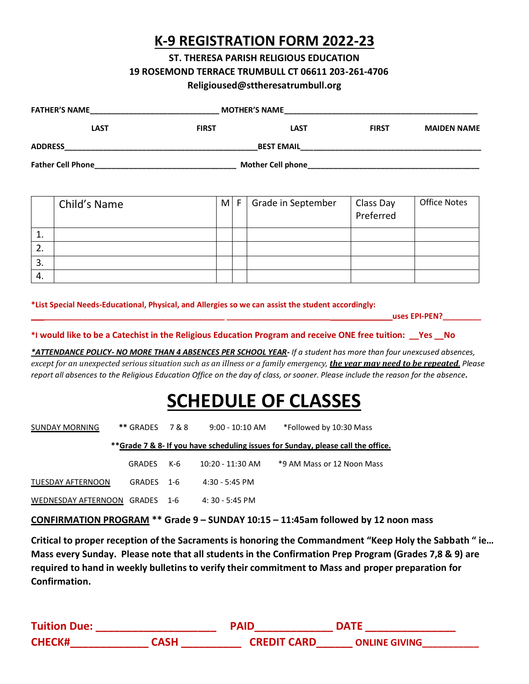## **K-9 REGISTRATION FORM 2022-23**

#### **ST. THERESA PARISH RELIGIOUS EDUCATION 19 ROSEMOND TERRACE TRUMBULL CT 06611 203-261-4706**

#### **[Religioused@sttheresatrumbull.org](mailto:Religioused@sttheresatrumbull.org)**

| <b>FATHER'S NAME</b>     |      |                          | <b>MOTHER'S NAME</b> |              |                    |
|--------------------------|------|--------------------------|----------------------|--------------|--------------------|
|                          | LAST | <b>FIRST</b>             | <b>LAST</b>          | <b>FIRST</b> | <b>MAIDEN NAME</b> |
| <b>ADDRESS</b>           |      |                          | <b>BEST EMAIL</b>    |              |                    |
| <b>Father Cell Phone</b> |      | <b>Mother Cell phone</b> |                      |              |                    |

|           | Child's Name | M F | Grade in September | Class Day<br>Preferred | <b>Office Notes</b> |
|-----------|--------------|-----|--------------------|------------------------|---------------------|
| <b>L.</b> |              |     |                    |                        |                     |
| z.        |              |     |                    |                        |                     |
| 3.        |              |     |                    |                        |                     |
| 4.        |              |     |                    |                        |                     |

**\*List Special Needs-Educational, Physical, and Allergies so we can assist the student accordingly:** 

**\_\_\_\_\_\_\_\_\_\_\_\_\_\_\_\_\_\_\_\_\_\_\_\_\_\_\_\_\_\_\_\_\_\_\_\_\_\_\_\_\_\_\_\_\_ \_\_\_\_\_\_\_\_\_\_\_\_\_\_\_\_\_\_\_\_\_\_\_\_ uses EPI-PEN?\_\_\_\_\_\_\_\_\_**

**\*I would like to be a Catechist in the Religious Education Program and receive ONE free tuition: \_\_Yes \_\_No**

*\*ATTENDANCE POLICY- NO MORE THAN 4 ABSENCES PER SCHOOL YEAR- If a student has more than four unexcused absences, except for an unexpected serious situation such as an illness or a family emergency, the year may need to be repeated. Please report all absences to the Religious Education Office on the day of class, or sooner. Please include the reason for the absence***.** 

# **SCHEDULE OF CLASSES**

| <b>SUNDAY MORNING</b>          | $**$ GRADES 7&8 |     | $9:00 - 10:10$ AM  | *Followed by 10:30 Mass                                                          |
|--------------------------------|-----------------|-----|--------------------|----------------------------------------------------------------------------------|
|                                |                 |     |                    | **Grade 7 & 8- If you have scheduling issues for Sunday, please call the office. |
|                                | <b>GRADES</b>   | K-6 | $10:20 - 11:30$ AM | *9 AM Mass or 12 Noon Mass                                                       |
| <b>TUESDAY AFTERNOON</b>       | GRADES 1-6      |     | $4:30 - 5:45$ PM   |                                                                                  |
| WEDNESDAY AFTERNOON GRADES 1-6 |                 |     | $4:30 - 5:45$ PM   |                                                                                  |

**CONFIRMATION PROGRAM \*\* Grade 9 – SUNDAY 10:15 – 11:45am followed by 12 noon mass**

**Critical to proper reception of the Sacraments is honoring the Commandment "Keep Holy the Sabbath " ie… Mass every Sunday. Please note that all students in the Confirmation Prep Program (Grades 7,8 & 9) are required to hand in weekly bulletins to verify their commitment to Mass and proper preparation for Confirmation.** 

| <b>Tuition Due:</b> |             | םוA <sup>ר</sup>   | <b>DATE</b>          |
|---------------------|-------------|--------------------|----------------------|
| <b>CHECK#</b>       | <b>CASH</b> | <b>CREDIT CARD</b> | <b>ONLINE GIVING</b> |